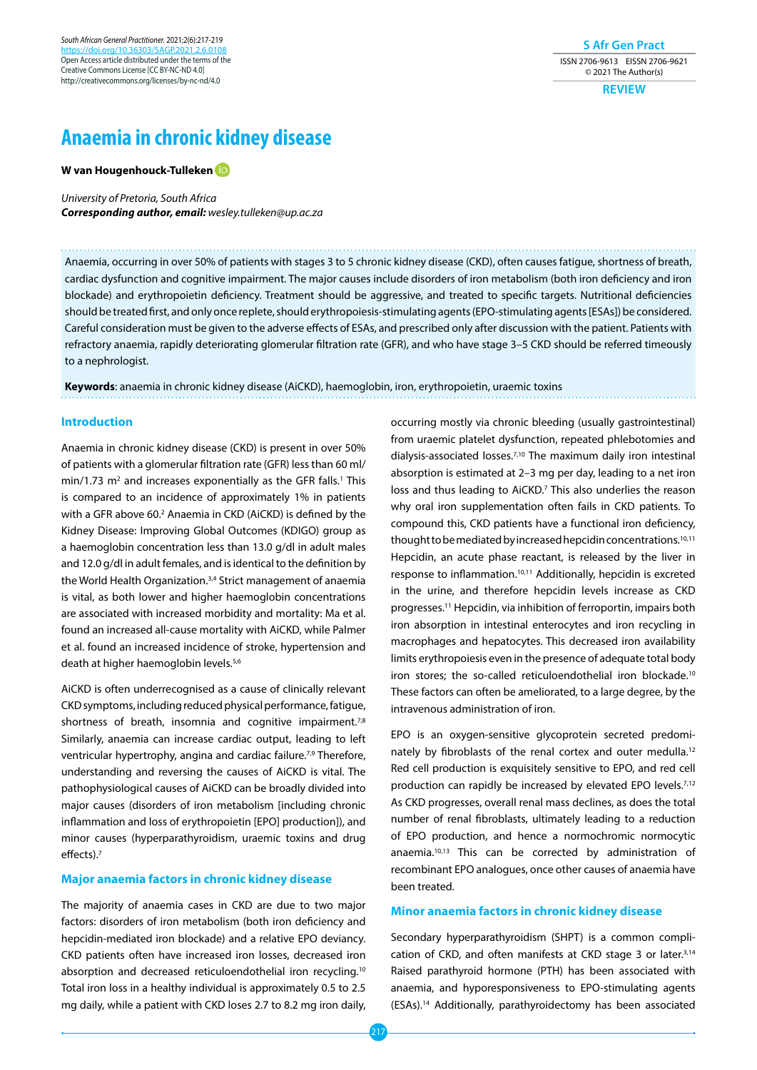*South African General Practitioner.* 2021;2(6):217-219 [https://doi.org/10.36303/SAGP.2021.2.6.0](https://doi.org/10.36303/SAGP.2021.2.6.0108
)108 Open Access article distributed under the terms of the Creative Commons License [CC BY-NC-ND 4.0] http://creativecommons.org/licenses/by-nc-nd/4.0

**S Afr Gen Pract** ISSN 2706-9613 EISSN 2706-9621 © 2021 The Author(s)

# **REVIEW**

# **Anaemia in chronic kidney disease**

**W van Hougenhouck-Tulleke[n](https://orcid.org/0000-0003-4625-0139)** 

*University of Pretoria, South Africa Corresponding author, email: wesley.tulleken@up.ac.za*

Anaemia, occurring in over 50% of patients with stages 3 to 5 chronic kidney disease (CKD), often causes fatigue, shortness of breath, cardiac dysfunction and cognitive impairment. The major causes include disorders of iron metabolism (both iron deficiency and iron blockade) and erythropoietin deficiency. Treatment should be aggressive, and treated to specific targets. Nutritional deficiencies should be treated first, and only once replete, should erythropoiesis-stimulating agents (EPO-stimulating agents [ESAs]) be considered. Careful consideration must be given to the adverse effects of ESAs, and prescribed only after discussion with the patient. Patients with refractory anaemia, rapidly deteriorating glomerular filtration rate (GFR), and who have stage 3–5 CKD should be referred timeously to a nephrologist.

**Keywords**: anaemia in chronic kidney disease (AiCKD), haemoglobin, iron, erythropoietin, uraemic toxins

# **Introduction**

Anaemia in chronic kidney disease (CKD) is present in over 50% of patients with a glomerular filtration rate (GFR) less than 60 ml/  $min/1.73$  m<sup>2</sup> and increases exponentially as the GFR falls.<sup>1</sup> This is compared to an incidence of approximately 1% in patients with a GFR above 60.2 Anaemia in CKD (AiCKD) is defined by the Kidney Disease: Improving Global Outcomes (KDIGO) group as a haemoglobin concentration less than 13.0 g/dl in adult males and 12.0 g/dl in adult females, and is identical to the definition by the World Health Organization.<sup>3,4</sup> Strict management of anaemia is vital, as both lower and higher haemoglobin concentrations are associated with increased morbidity and mortality: Ma et al. found an increased all-cause mortality with AiCKD, while Palmer et al. found an increased incidence of stroke, hypertension and death at higher haemoglobin levels.<sup>5,6</sup>

AiCKD is often underrecognised as a cause of clinically relevant CKD symptoms, including reduced physical performance, fatigue, shortness of breath, insomnia and cognitive impairment.<sup>7,8</sup> Similarly, anaemia can increase cardiac output, leading to left ventricular hypertrophy, angina and cardiac failure.<sup>7,9</sup> Therefore, understanding and reversing the causes of AiCKD is vital. The pathophysiological causes of AiCKD can be broadly divided into major causes (disorders of iron metabolism [including chronic inflammation and loss of erythropoietin [EPO] production]), and minor causes (hyperparathyroidism, uraemic toxins and drug effects).7

## **Major anaemia factors in chronic kidney disease**

The majority of anaemia cases in CKD are due to two major factors: disorders of iron metabolism (both iron deficiency and hepcidin-mediated iron blockade) and a relative EPO deviancy. CKD patients often have increased iron losses, decreased iron absorption and decreased reticuloendothelial iron recycling.<sup>10</sup> Total iron loss in a healthy individual is approximately 0.5 to 2.5 mg daily, while a patient with CKD loses 2.7 to 8.2 mg iron daily,

occurring mostly via chronic bleeding (usually gastrointestinal) from uraemic platelet dysfunction, repeated phlebotomies and dialysis-associated losses.7,10 The maximum daily iron intestinal absorption is estimated at 2–3 mg per day, leading to a net iron loss and thus leading to AiCKD.<sup>7</sup> This also underlies the reason why oral iron supplementation often fails in CKD patients. To compound this, CKD patients have a functional iron deficiency, thought to be mediated by increased hepcidin concentrations.10,11 Hepcidin, an acute phase reactant, is released by the liver in response to inflammation.10,11 Additionally, hepcidin is excreted in the urine, and therefore hepcidin levels increase as CKD progresses.11 Hepcidin, via inhibition of ferroportin, impairs both iron absorption in intestinal enterocytes and iron recycling in macrophages and hepatocytes. This decreased iron availability limits erythropoiesis even in the presence of adequate total body iron stores; the so-called reticuloendothelial iron blockade.<sup>10</sup> These factors can often be ameliorated, to a large degree, by the intravenous administration of iron.

EPO is an oxygen-sensitive glycoprotein secreted predominately by fibroblasts of the renal cortex and outer medulla.<sup>12</sup> Red cell production is exquisitely sensitive to EPO, and red cell production can rapidly be increased by elevated EPO levels.<sup>7,12</sup> As CKD progresses, overall renal mass declines, as does the total number of renal fibroblasts, ultimately leading to a reduction of EPO production, and hence a normochromic normocytic anaemia.10,13 This can be corrected by administration of recombinant EPO analogues, once other causes of anaemia have been treated.

## **Minor anaemia factors in chronic kidney disease**

Secondary hyperparathyroidism (SHPT) is a common complication of CKD, and often manifests at CKD stage 3 or later.3,14 Raised parathyroid hormone (PTH) has been associated with anaemia, and hyporesponsiveness to EPO-stimulating agents (ESAs).14 Additionally, parathyroidectomy has been associated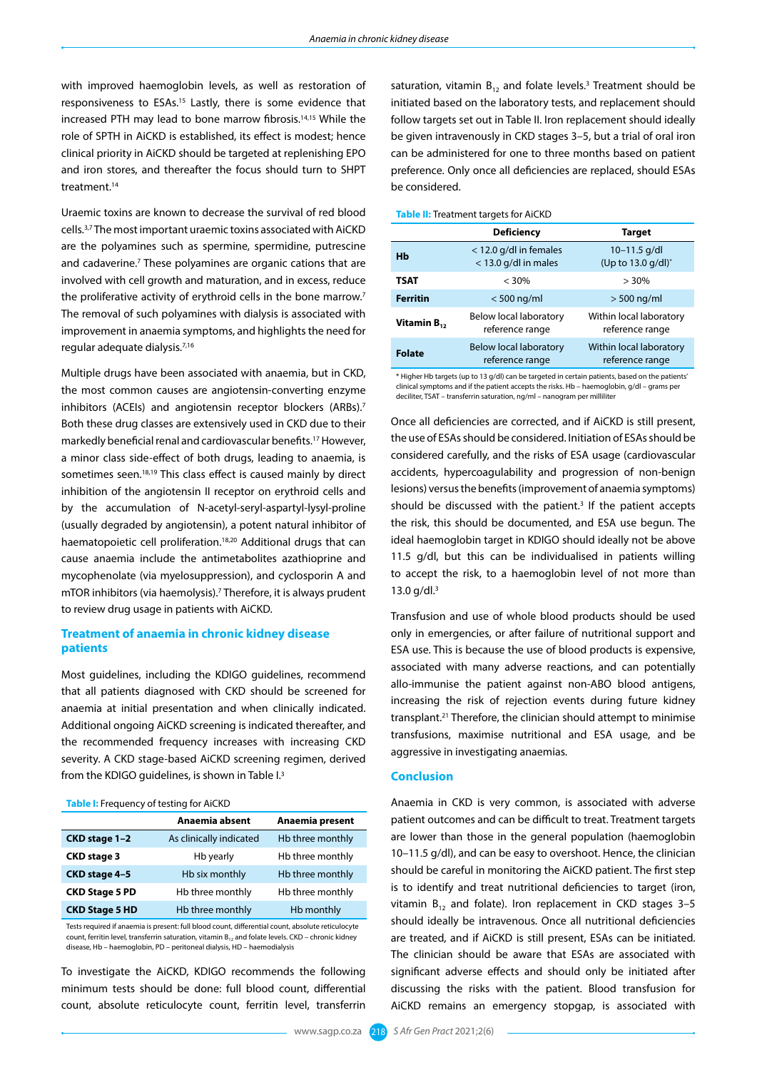with improved haemoglobin levels, as well as restoration of responsiveness to ESAs.<sup>15</sup> Lastly, there is some evidence that increased PTH may lead to bone marrow fibrosis.14,15 While the role of SPTH in AiCKD is established, its effect is modest; hence clinical priority in AiCKD should be targeted at replenishing EPO and iron stores, and thereafter the focus should turn to SHPT treatment.14

Uraemic toxins are known to decrease the survival of red blood cells.3,7 The most important uraemic toxins associated with AiCKD are the polyamines such as spermine, spermidine, putrescine and cadaverine.<sup>7</sup> These polyamines are organic cations that are involved with cell growth and maturation, and in excess, reduce the proliferative activity of erythroid cells in the bone marrow.<sup>7</sup> The removal of such polyamines with dialysis is associated with improvement in anaemia symptoms, and highlights the need for regular adequate dialysis.7,16

Multiple drugs have been associated with anaemia, but in CKD, the most common causes are angiotensin-converting enzyme inhibitors (ACEIs) and angiotensin receptor blockers (ARBs).<sup>7</sup> Both these drug classes are extensively used in CKD due to their markedly beneficial renal and cardiovascular benefits.17 However, a minor class side-effect of both drugs, leading to anaemia, is sometimes seen.<sup>18,19</sup> This class effect is caused mainly by direct inhibition of the angiotensin II receptor on erythroid cells and by the accumulation of N-acetyl-seryl-aspartyl-lysyl-proline (usually degraded by angiotensin), a potent natural inhibitor of haematopoietic cell proliferation.18,20 Additional drugs that can cause anaemia include the antimetabolites azathioprine and mycophenolate (via myelosuppression), and cyclosporin A and mTOR inhibitors (via haemolysis).7 Therefore, it is always prudent to review drug usage in patients with AiCKD.

# **Treatment of anaemia in chronic kidney disease patients**

Most guidelines, including the KDIGO guidelines, recommend that all patients diagnosed with CKD should be screened for anaemia at initial presentation and when clinically indicated. Additional ongoing AiCKD screening is indicated thereafter, and the recommended frequency increases with increasing CKD severity. A CKD stage-based AiCKD screening regimen, derived from the KDIGO guidelines, is shown in Table I.3

**Table I:** Frequency of testing for AiCKD

|                       | Anaemia absent          | Anaemia present  |
|-----------------------|-------------------------|------------------|
| CKD stage 1-2         | As clinically indicated | Hb three monthly |
| <b>CKD stage 3</b>    | Hb yearly               | Hb three monthly |
| CKD stage 4-5         | Hb six monthly          | Hb three monthly |
| <b>CKD Stage 5 PD</b> | Hb three monthly        | Hb three monthly |
| <b>CKD Stage 5 HD</b> | Hb three monthly        | Hb monthly       |

Tests required if anaemia is present: full blood count, differential count, absolute reticulocyte count, ferritin level, transferrin saturation, vitamin  $B_{12}$  and folate levels. CKD – chronic kidney disease, Hb – haemoglobin, PD – peritoneal dialysis, HD – haemodialysis

To investigate the AiCKD, KDIGO recommends the following minimum tests should be done: full blood count, differential count, absolute reticulocyte count, ferritin level, transferrin saturation, vitamin  $B_{12}$  and folate levels.<sup>3</sup> Treatment should be initiated based on the laboratory tests, and replacement should follow targets set out in Table II. Iron replacement should ideally be given intravenously in CKD stages 3–5, but a trial of oral iron can be administered for one to three months based on patient preference. Only once all deficiencies are replaced, should ESAs be considered.

**Table II:** Treatment targets for AiCKD

| <b>Deficiency</b>                                  | <b>Target</b>                              |
|----------------------------------------------------|--------------------------------------------|
| $<$ 12.0 g/dl in females<br>$<$ 13.0 g/dl in males | $10 - 11.5$ g/dl<br>(Up to 13.0 $q/dl$ )*  |
| $<$ 30%                                            | >30%                                       |
| $<$ 500 ng/ml                                      | $> 500$ ng/ml                              |
| Below local laboratory<br>reference range          | Within local laboratory<br>reference range |
| Below local laboratory<br>reference range          | Within local laboratory<br>reference range |
|                                                    |                                            |

\* Higher Hb targets (up to 13 g/dl) can be targeted in certain patients, based on the patients'  $c$ linical symptoms and if the patient accepts the risks. Hb – haemoglobin,  $g/dI$  – grams per deciliter, TSAT – transferrin saturation, ng/ml – nanogram per milliliter

Once all deficiencies are corrected, and if AiCKD is still present, the use of ESAs should be considered. Initiation of ESAs should be considered carefully, and the risks of ESA usage (cardiovascular accidents, hypercoagulability and progression of non-benign lesions) versus the benefits (improvement of anaemia symptoms) should be discussed with the patient. $3$  If the patient accepts the risk, this should be documented, and ESA use begun. The ideal haemoglobin target in KDIGO should ideally not be above 11.5 g/dl, but this can be individualised in patients willing to accept the risk, to a haemoglobin level of not more than 13.0 g/dl.3

Transfusion and use of whole blood products should be used only in emergencies, or after failure of nutritional support and ESA use. This is because the use of blood products is expensive, associated with many adverse reactions, and can potentially allo-immunise the patient against non-ABO blood antigens, increasing the risk of rejection events during future kidney transplant.21 Therefore, the clinician should attempt to minimise transfusions, maximise nutritional and ESA usage, and be aggressive in investigating anaemias.

#### **Conclusion**

Anaemia in CKD is very common, is associated with adverse patient outcomes and can be difficult to treat. Treatment targets are lower than those in the general population (haemoglobin 10–11.5 g/dl), and can be easy to overshoot. Hence, the clinician should be careful in monitoring the AiCKD patient. The first step is to identify and treat nutritional deficiencies to target (iron, vitamin  $B_{12}$  and folate). Iron replacement in CKD stages 3-5 should ideally be intravenous. Once all nutritional deficiencies are treated, and if AiCKD is still present, ESAs can be initiated. The clinician should be aware that ESAs are associated with significant adverse effects and should only be initiated after discussing the risks with the patient. Blood transfusion for AiCKD remains an emergency stopgap, is associated with